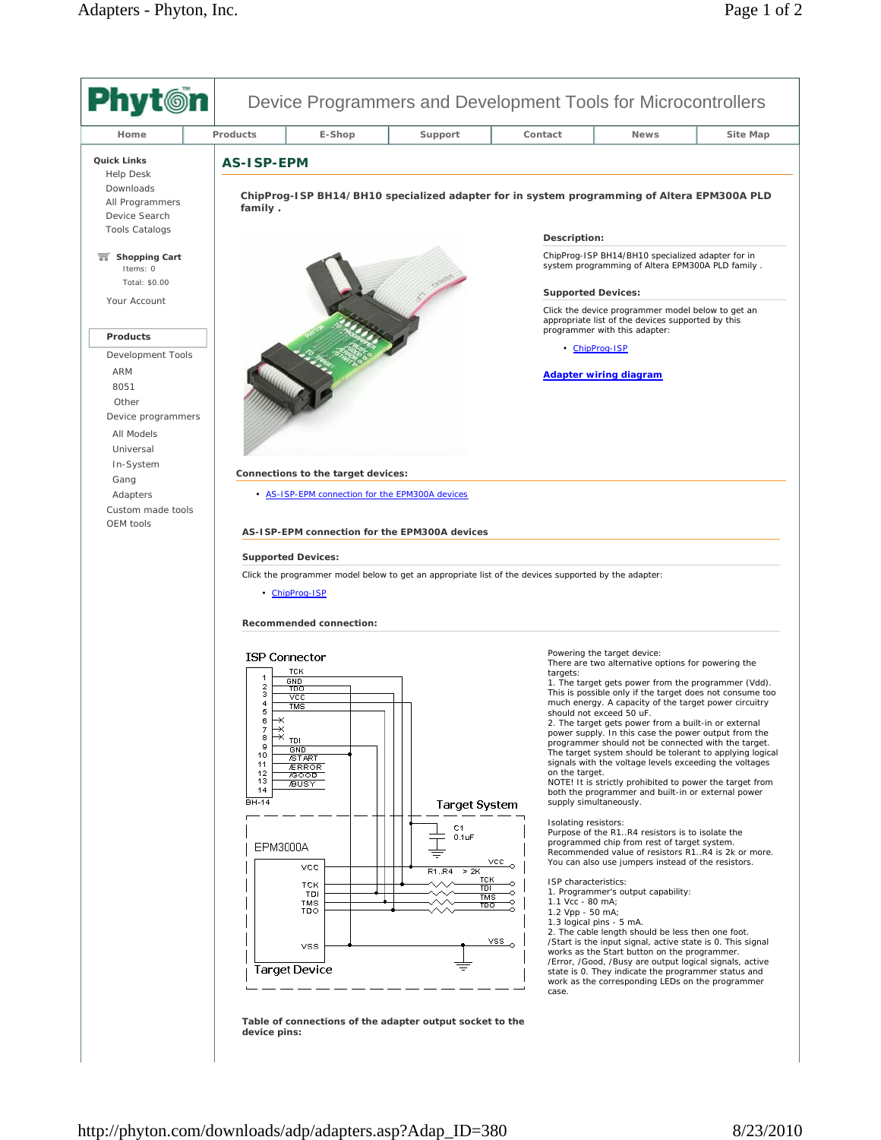